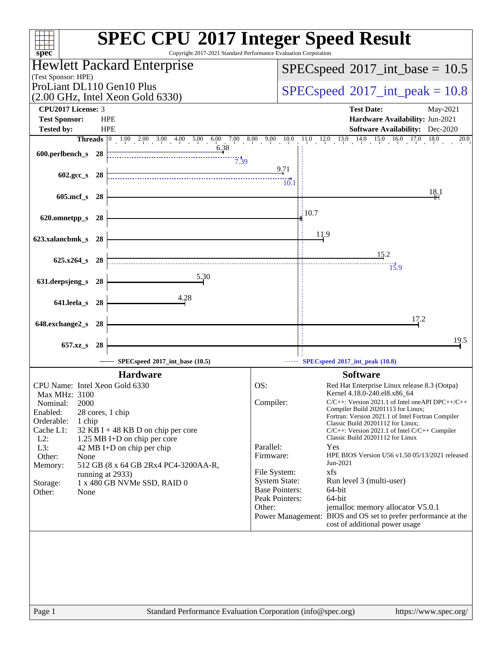| $spec^*$                                                                    | <b>SPEC CPU®2017 Integer Speed Result</b><br>Copyright 2017-2021 Standard Performance Evaluation Corporation                                                                           |
|-----------------------------------------------------------------------------|----------------------------------------------------------------------------------------------------------------------------------------------------------------------------------------|
| Hewlett Packard Enterprise                                                  | $SPEC speed^{\circ}2017\_int\_base = 10.5$                                                                                                                                             |
| (Test Sponsor: HPE)                                                         |                                                                                                                                                                                        |
| ProLiant DL110 Gen10 Plus                                                   | $SPEC speed^{\circ}2017\_int\_peak = 10.8$                                                                                                                                             |
| $(2.00 \text{ GHz}, \text{Intel Xeon Gold } 6330)$<br>CPU2017 License: 3    |                                                                                                                                                                                        |
| <b>Test Sponsor:</b><br><b>HPE</b>                                          | <b>Test Date:</b><br>May-2021<br>Hardware Availability: Jun-2021                                                                                                                       |
| <b>HPE</b><br><b>Tested by:</b>                                             | <b>Software Availability:</b> Dec-2020                                                                                                                                                 |
|                                                                             | <b>Threads</b> $\begin{bmatrix} 0 & 1.00 & 2.00 & 3.00 & 4.00 & 5.00 & 6.00 & 7.00 & 8.00 & 9.00 & 10.0 & 11.0 & 12.0 & 13.0 & 14.0 & 15.0 & 16.0 & 17.0 & 18.0 \end{bmatrix}$<br>20.0 |
| 6.38<br>600.perlbench_s 28                                                  |                                                                                                                                                                                        |
| 7.39                                                                        |                                                                                                                                                                                        |
| 602.gcc_s 28                                                                | $\frac{9.71}{2}$                                                                                                                                                                       |
|                                                                             | $10^{14}_{.11}$                                                                                                                                                                        |
| 605.mcf_s 28                                                                | 18.1                                                                                                                                                                                   |
|                                                                             | 10.7                                                                                                                                                                                   |
| 620.omnetpp_s 28                                                            |                                                                                                                                                                                        |
|                                                                             | <u>11.9</u>                                                                                                                                                                            |
| 623.xalancbmk_s 28                                                          |                                                                                                                                                                                        |
| 625.x264_s 28                                                               | 15.2                                                                                                                                                                                   |
|                                                                             | 15.9                                                                                                                                                                                   |
| 5.30<br>631.deepsjeng_s<br>-28                                              |                                                                                                                                                                                        |
|                                                                             |                                                                                                                                                                                        |
| 4.28<br>641.leela_s 28                                                      |                                                                                                                                                                                        |
|                                                                             | 17.2                                                                                                                                                                                   |
| 648.exchange2_s 28                                                          |                                                                                                                                                                                        |
|                                                                             | 19.5                                                                                                                                                                                   |
| 657.xz_s<br>-28                                                             |                                                                                                                                                                                        |
| SPECspeed®2017_int_base (10.5)                                              | SPECspeed®2017_int_peak (10.8)                                                                                                                                                         |
| <b>Hardware</b>                                                             | <b>Software</b>                                                                                                                                                                        |
| CPU Name: Intel Xeon Gold 6330                                              | OS:<br>Red Hat Enterprise Linux release 8.3 (Ootpa)                                                                                                                                    |
| Max MHz: 3100<br>2000                                                       | Kernel 4.18.0-240.el8.x86_64<br>Compiler:<br>$C/C++$ : Version 2021.1 of Intel oneAPI DPC $++/C++$                                                                                     |
| Nominal:<br>Enabled:<br>28 cores, 1 chip                                    | Compiler Build 20201113 for Linux;                                                                                                                                                     |
| Orderable:<br>1 chip                                                        | Fortran: Version 2021.1 of Intel Fortran Compiler<br>Classic Build 20201112 for Linux;                                                                                                 |
| Cache L1:<br>32 KB I + 48 KB D on chip per core                             | $C/C++$ : Version 2021.1 of Intel $C/C++$ Compiler<br>Classic Build 20201112 for Linux                                                                                                 |
| $L2$ :<br>1.25 MB I+D on chip per core<br>L3:<br>42 MB I+D on chip per chip | Parallel:<br>Yes                                                                                                                                                                       |
| Other:<br>None                                                              | Firmware:<br>HPE BIOS Version U56 v1.50 05/13/2021 released                                                                                                                            |
| Memory:<br>512 GB (8 x 64 GB 2Rx4 PC4-3200AA-R,                             | Jun-2021<br>xfs<br>File System:                                                                                                                                                        |
| running at 2933)<br>1 x 480 GB NVMe SSD, RAID 0<br>Storage:                 | <b>System State:</b><br>Run level 3 (multi-user)                                                                                                                                       |
| Other:<br>None                                                              | <b>Base Pointers:</b><br>64-bit                                                                                                                                                        |
|                                                                             | 64-bit<br>Peak Pointers:<br>Other:<br>jemalloc memory allocator V5.0.1                                                                                                                 |
|                                                                             | Power Management: BIOS and OS set to prefer performance at the                                                                                                                         |
|                                                                             | cost of additional power usage                                                                                                                                                         |
|                                                                             |                                                                                                                                                                                        |
|                                                                             |                                                                                                                                                                                        |
|                                                                             |                                                                                                                                                                                        |
|                                                                             |                                                                                                                                                                                        |
|                                                                             |                                                                                                                                                                                        |
|                                                                             |                                                                                                                                                                                        |
| Page 1                                                                      | Standard Performance Evaluation Corporation (info@spec.org)<br>https://www.spec.org/                                                                                                   |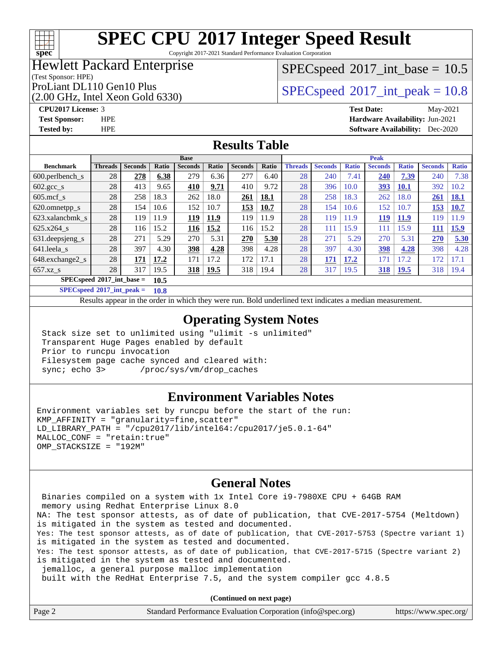#### $+\ +$ **[spec](http://www.spec.org/)**

# **[SPEC CPU](http://www.spec.org/auto/cpu2017/Docs/result-fields.html#SPECCPU2017IntegerSpeedResult)[2017 Integer Speed Result](http://www.spec.org/auto/cpu2017/Docs/result-fields.html#SPECCPU2017IntegerSpeedResult)**

Copyright 2017-2021 Standard Performance Evaluation Corporation

### Hewlett Packard Enterprise

### $SPECspeed^{\circledcirc}2017\_int\_base = 10.5$  $SPECspeed^{\circledcirc}2017\_int\_base = 10.5$

(Test Sponsor: HPE)

(2.00 GHz, Intel Xeon Gold 6330)

ProLiant DL110 Gen10 Plus  $SPEC speed@2017$ \_int\_peak = 10.8

#### **[CPU2017 License:](http://www.spec.org/auto/cpu2017/Docs/result-fields.html#CPU2017License)** 3 **[Test Date:](http://www.spec.org/auto/cpu2017/Docs/result-fields.html#TestDate)** May-2021 **[Test Sponsor:](http://www.spec.org/auto/cpu2017/Docs/result-fields.html#TestSponsor)** HPE **[Hardware Availability:](http://www.spec.org/auto/cpu2017/Docs/result-fields.html#HardwareAvailability)** Jun-2021 **[Tested by:](http://www.spec.org/auto/cpu2017/Docs/result-fields.html#Testedby)** HPE **[Software Availability:](http://www.spec.org/auto/cpu2017/Docs/result-fields.html#SoftwareAvailability)** Dec-2020

#### **[Results Table](http://www.spec.org/auto/cpu2017/Docs/result-fields.html#ResultsTable)**

| <b>Base</b>                                |                |                |       |                | <b>Peak</b> |                |       |                |                |              |                |              |                |              |
|--------------------------------------------|----------------|----------------|-------|----------------|-------------|----------------|-------|----------------|----------------|--------------|----------------|--------------|----------------|--------------|
| <b>Benchmark</b>                           | <b>Threads</b> | <b>Seconds</b> | Ratio | <b>Seconds</b> | Ratio       | <b>Seconds</b> | Ratio | <b>Threads</b> | <b>Seconds</b> | <b>Ratio</b> | <b>Seconds</b> | <b>Ratio</b> | <b>Seconds</b> | <b>Ratio</b> |
| $600.$ perlbench $\mathsf{S}$              | 28             | 278            | 6.38  | 279            | 6.36        | 277            | 6.40  | 28             | 240            | 7.41         | 240            | 7.39         | 240            | 7.38         |
| $602.\text{gcc}\_\text{s}$                 | 28             | 413            | 9.65  | 410            | 9.71        | 410            | 9.72  | 28             | 396            | 10.0         | 393            | <b>10.1</b>  | 392            | 10.2         |
| $605 \text{.mcf}$ s                        | 28             | 258            | 18.3  | 262            | 18.0        | 261            | 18.1  | 28             | 258            | 18.3         | 262            | 18.0         | 261            | <u>18.1</u>  |
| 620.omnetpp_s                              | 28             | 154            | 10.6  | 152            | 10.7        | 153            | 10.7  | 28             | 154            | 10.6         | 152            | 10.7         | 153            | <b>10.7</b>  |
| 623.xalancbmk s                            | 28             | 119            | 11.9  | 119            | 11.9        | 119            | 11.9  | 28             | 119            | 11.9         | 119            | <b>11.9</b>  | 119            | 11.9         |
| $625.x264$ s                               | 28             | 116            | 15.2  | 116            | 15.2        | 116            | 15.2  | 28             | 111            | 15.9         | 111            | 15.9         | 111            | 15.9         |
| 631.deepsjeng_s                            | 28             | 271            | 5.29  | 270            | 5.31        | 270            | 5.30  | 28             | 271            | 5.29         | 270            | 5.31         | 270            | 5.30         |
| 641.leela s                                | 28             | 397            | 4.30  | 398            | 4.28        | 398            | 4.28  | 28             | 397            | 4.30         | <u>398</u>     | 4.28         | 398            | 4.28         |
| 648.exchange2_s                            | 28             | 171            | 17.2  | 171            | 17.2        | 172            | 17.1  | 28             | 171            | 17.2         | 171            | 17.2         | 172            | 17.1         |
| $657.xz$ <sub>S</sub>                      | 28             | 317            | 19.5  | <u>318</u>     | <u>19.5</u> | 318            | 19.4  | 28             | 317            | 19.5         | 318            | <b>19.5</b>  | 318            | 19.4         |
| $SPECspeed^{\circ}2017$ int base =<br>10.5 |                |                |       |                |             |                |       |                |                |              |                |              |                |              |

**[SPECspeed](http://www.spec.org/auto/cpu2017/Docs/result-fields.html#SPECspeed2017intpeak)[2017\\_int\\_peak =](http://www.spec.org/auto/cpu2017/Docs/result-fields.html#SPECspeed2017intpeak) 10.8**

Results appear in the [order in which they were run.](http://www.spec.org/auto/cpu2017/Docs/result-fields.html#RunOrder) Bold underlined text [indicates a median measurement](http://www.spec.org/auto/cpu2017/Docs/result-fields.html#Median).

#### **[Operating System Notes](http://www.spec.org/auto/cpu2017/Docs/result-fields.html#OperatingSystemNotes)**

 Stack size set to unlimited using "ulimit -s unlimited" Transparent Huge Pages enabled by default Prior to runcpu invocation Filesystem page cache synced and cleared with: sync; echo 3> /proc/sys/vm/drop\_caches

#### **[Environment Variables Notes](http://www.spec.org/auto/cpu2017/Docs/result-fields.html#EnvironmentVariablesNotes)**

Environment variables set by runcpu before the start of the run: KMP\_AFFINITY = "granularity=fine,scatter" LD\_LIBRARY\_PATH = "/cpu2017/lib/intel64:/cpu2017/je5.0.1-64" MALLOC\_CONF = "retain:true" OMP\_STACKSIZE = "192M"

#### **[General Notes](http://www.spec.org/auto/cpu2017/Docs/result-fields.html#GeneralNotes)**

 Binaries compiled on a system with 1x Intel Core i9-7980XE CPU + 64GB RAM memory using Redhat Enterprise Linux 8.0 NA: The test sponsor attests, as of date of publication, that CVE-2017-5754 (Meltdown) is mitigated in the system as tested and documented. Yes: The test sponsor attests, as of date of publication, that CVE-2017-5753 (Spectre variant 1) is mitigated in the system as tested and documented. Yes: The test sponsor attests, as of date of publication, that CVE-2017-5715 (Spectre variant 2) is mitigated in the system as tested and documented. jemalloc, a general purpose malloc implementation built with the RedHat Enterprise 7.5, and the system compiler gcc 4.8.5

**(Continued on next page)**

| Page 2 | Standard Performance Evaluation Corporation (info@spec.org) | https://www.spec.org/ |
|--------|-------------------------------------------------------------|-----------------------|
|        |                                                             |                       |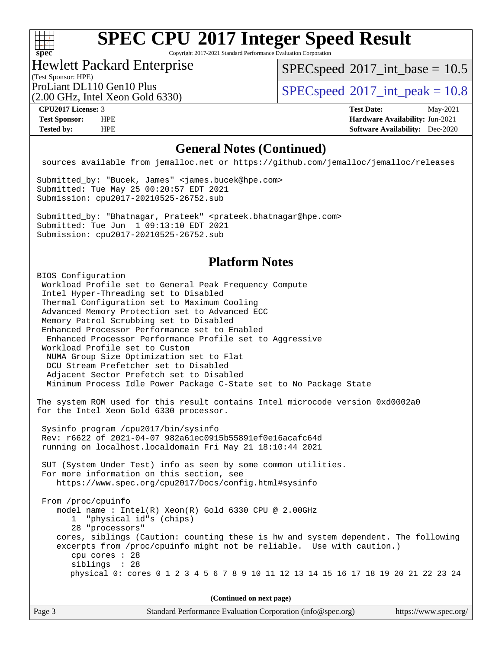

Copyright 2017-2021 Standard Performance Evaluation Corporation

### Hewlett Packard Enterprise

 $SPECspeed^{\circ}2017\_int\_base = 10.5$  $SPECspeed^{\circ}2017\_int\_base = 10.5$ 

(Test Sponsor: HPE) (2.00 GHz, Intel Xeon Gold 6330)

ProLiant DL110 Gen10 Plus  $\vert$  [SPECspeed](http://www.spec.org/auto/cpu2017/Docs/result-fields.html#SPECspeed2017intpeak)®[2017\\_int\\_peak = 1](http://www.spec.org/auto/cpu2017/Docs/result-fields.html#SPECspeed2017intpeak)0.8

**[CPU2017 License:](http://www.spec.org/auto/cpu2017/Docs/result-fields.html#CPU2017License)** 3 **[Test Date:](http://www.spec.org/auto/cpu2017/Docs/result-fields.html#TestDate)** May-2021 **[Test Sponsor:](http://www.spec.org/auto/cpu2017/Docs/result-fields.html#TestSponsor)** HPE **[Hardware Availability:](http://www.spec.org/auto/cpu2017/Docs/result-fields.html#HardwareAvailability)** Jun-2021 **[Tested by:](http://www.spec.org/auto/cpu2017/Docs/result-fields.html#Testedby)** HPE **[Software Availability:](http://www.spec.org/auto/cpu2017/Docs/result-fields.html#SoftwareAvailability)** Dec-2020

#### **[General Notes \(Continued\)](http://www.spec.org/auto/cpu2017/Docs/result-fields.html#GeneralNotes)**

sources available from jemalloc.net or <https://github.com/jemalloc/jemalloc/releases>

Submitted\_by: "Bucek, James" <james.bucek@hpe.com> Submitted: Tue May 25 00:20:57 EDT 2021 Submission: cpu2017-20210525-26752.sub

Submitted\_by: "Bhatnagar, Prateek" <prateek.bhatnagar@hpe.com> Submitted: Tue Jun 1 09:13:10 EDT 2021 Submission: cpu2017-20210525-26752.sub

#### **[Platform Notes](http://www.spec.org/auto/cpu2017/Docs/result-fields.html#PlatformNotes)**

BIOS Configuration Workload Profile set to General Peak Frequency Compute Intel Hyper-Threading set to Disabled Thermal Configuration set to Maximum Cooling Advanced Memory Protection set to Advanced ECC Memory Patrol Scrubbing set to Disabled Enhanced Processor Performance set to Enabled Enhanced Processor Performance Profile set to Aggressive Workload Profile set to Custom NUMA Group Size Optimization set to Flat DCU Stream Prefetcher set to Disabled Adjacent Sector Prefetch set to Disabled Minimum Process Idle Power Package C-State set to No Package State The system ROM used for this result contains Intel microcode version 0xd0002a0 for the Intel Xeon Gold 6330 processor. Sysinfo program /cpu2017/bin/sysinfo Rev: r6622 of 2021-04-07 982a61ec0915b55891ef0e16acafc64d running on localhost.localdomain Fri May 21 18:10:44 2021 SUT (System Under Test) info as seen by some common utilities. For more information on this section, see <https://www.spec.org/cpu2017/Docs/config.html#sysinfo> From /proc/cpuinfo model name : Intel(R) Xeon(R) Gold 6330 CPU @ 2.00GHz 1 "physical id"s (chips) 28 "processors" cores, siblings (Caution: counting these is hw and system dependent. The following excerpts from /proc/cpuinfo might not be reliable. Use with caution.) cpu cores : 28 siblings : 28 physical 0: cores 0 1 2 3 4 5 6 7 8 9 10 11 12 13 14 15 16 17 18 19 20 21 22 23 24

**(Continued on next page)**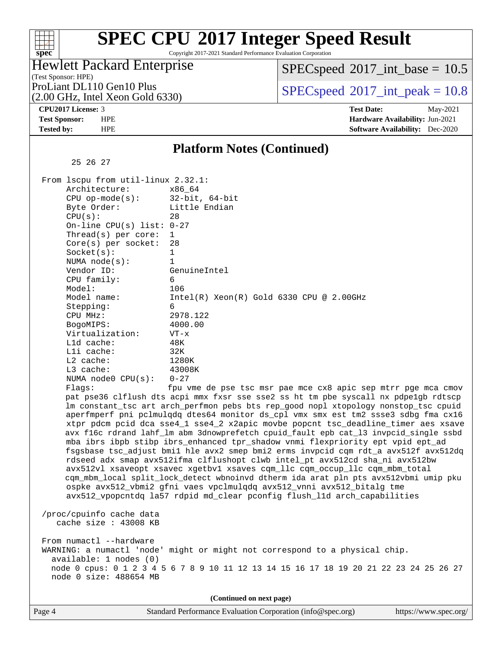Copyright 2017-2021 Standard Performance Evaluation Corporation

### Hewlett Packard Enterprise

 $SPECspeed^{\circ}2017\_int\_base = 10.5$  $SPECspeed^{\circ}2017\_int\_base = 10.5$ 

(Test Sponsor: HPE) (2.00 GHz, Intel Xeon Gold 6330)

ProLiant DL110 Gen10 Plus  $SPEC speed@2017$  int peak = 10.8

**[spec](http://www.spec.org/)**

 $+\ +$ 

**[CPU2017 License:](http://www.spec.org/auto/cpu2017/Docs/result-fields.html#CPU2017License)** 3 **[Test Date:](http://www.spec.org/auto/cpu2017/Docs/result-fields.html#TestDate)** May-2021 **[Test Sponsor:](http://www.spec.org/auto/cpu2017/Docs/result-fields.html#TestSponsor)** HPE **[Hardware Availability:](http://www.spec.org/auto/cpu2017/Docs/result-fields.html#HardwareAvailability)** Jun-2021 **[Tested by:](http://www.spec.org/auto/cpu2017/Docs/result-fields.html#Testedby)** HPE **[Software Availability:](http://www.spec.org/auto/cpu2017/Docs/result-fields.html#SoftwareAvailability)** Dec-2020

#### **[Platform Notes \(Continued\)](http://www.spec.org/auto/cpu2017/Docs/result-fields.html#PlatformNotes)**

25 26 27

| From $l$ scpu from $util$ -linux $2.32.1$ : |                                                                   |
|---------------------------------------------|-------------------------------------------------------------------|
| Architecture:                               | x86 64                                                            |
| CPU $op-mode(s):$ 32-bit, 64-bit            |                                                                   |
| Byte Order:                                 | Little Endian                                                     |
| CPU(s):                                     | 28                                                                |
| On-line CPU(s) list: $0-27$                 |                                                                   |
| Thread(s) per core: $1$                     |                                                                   |
| $Core(s)$ per socket: 28                    |                                                                   |
| Socket(s):                                  | $\mathbf{1}$                                                      |
| NUMA node(s):                               |                                                                   |
| Vendor ID:                                  | GenuineIntel                                                      |
| $CPU$ family:                               | 6                                                                 |
| Model:                                      | 106                                                               |
| Model name:                                 | $Intel(R)$ Xeon $(R)$ Gold 6330 CPU @ 2.00GHz                     |
| Stepping:                                   | 6                                                                 |
| CPU MHz:                                    | 2978.122                                                          |
| BogoMIPS:                                   | 4000.00                                                           |
| Virtualization:                             | $VT - x$                                                          |
| $L1d$ cache:                                | 48K                                                               |
| Lli cache:                                  | 32K                                                               |
| L2 cache:                                   | 1280K                                                             |
| L3 cache:                                   | 43008K                                                            |
| NUMA node0 $CPU(s): 0-27$                   |                                                                   |
| Flaqs:                                      | fpu vme de pse tsc msr pae mce cx8 apic sep                       |
|                                             | nat nga36 alflugh dtg agni mmy fygr gge gge2 gg ht tm nhe gyggall |

p mtrr pge mca cmov pat pse36 clflush dts acpi mmx fxsr sse sse2 ss ht tm pbe syscall nx pdpe1gb rdtscp lm constant\_tsc art arch\_perfmon pebs bts rep\_good nopl xtopology nonstop\_tsc cpuid aperfmperf pni pclmulqdq dtes64 monitor ds\_cpl vmx smx est tm2 ssse3 sdbg fma cx16 xtpr pdcm pcid dca sse4\_1 sse4\_2 x2apic movbe popcnt tsc\_deadline\_timer aes xsave avx f16c rdrand lahf\_lm abm 3dnowprefetch cpuid\_fault epb cat\_l3 invpcid\_single ssbd mba ibrs ibpb stibp ibrs\_enhanced tpr\_shadow vnmi flexpriority ept vpid ept\_ad fsgsbase tsc\_adjust bmi1 hle avx2 smep bmi2 erms invpcid cqm rdt\_a avx512f avx512dq rdseed adx smap avx512ifma clflushopt clwb intel\_pt avx512cd sha\_ni avx512bw avx512vl xsaveopt xsavec xgetbv1 xsaves cqm\_llc cqm\_occup\_llc cqm\_mbm\_total cqm\_mbm\_local split\_lock\_detect wbnoinvd dtherm ida arat pln pts avx512vbmi umip pku ospke avx512\_vbmi2 gfni vaes vpclmulqdq avx512\_vnni avx512\_bitalg tme avx512\_vpopcntdq la57 rdpid md\_clear pconfig flush\_l1d arch\_capabilities

 /proc/cpuinfo cache data cache size : 43008 KB

From numactl --hardware WARNING: a numactl 'node' might or might not correspond to a physical chip. available: 1 nodes (0) node 0 cpus: 0 1 2 3 4 5 6 7 8 9 10 11 12 13 14 15 16 17 18 19 20 21 22 23 24 25 26 27 node 0 size: 488654 MB

**(Continued on next page)**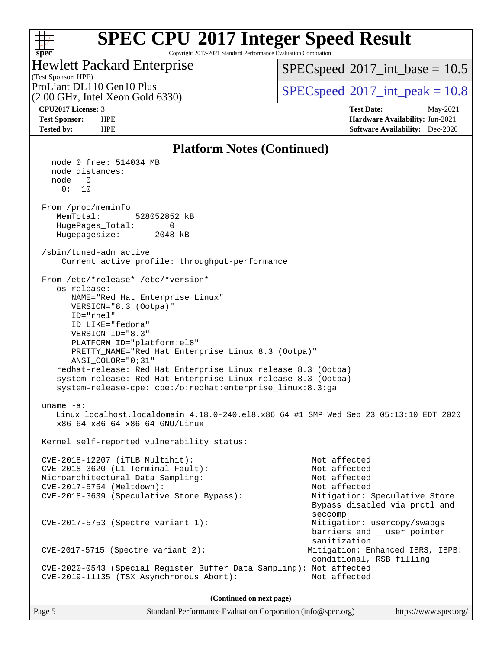#### $+\ +$ **[spec](http://www.spec.org/)**

# **[SPEC CPU](http://www.spec.org/auto/cpu2017/Docs/result-fields.html#SPECCPU2017IntegerSpeedResult)[2017 Integer Speed Result](http://www.spec.org/auto/cpu2017/Docs/result-fields.html#SPECCPU2017IntegerSpeedResult)**

#### Copyright 2017-2021 Standard Performance Evaluation Corporation (Test Sponsor: HPE) Hewlett Packard Enterprise (2.00 GHz, Intel Xeon Gold 6330) ProLiant DL110 Gen10 Plus  $SPEC speed@2017$ \_int\_peak = 10.8  $SPECspeed^{\circ}2017\_int\_base = 10.5$  $SPECspeed^{\circ}2017\_int\_base = 10.5$ **[CPU2017 License:](http://www.spec.org/auto/cpu2017/Docs/result-fields.html#CPU2017License)** 3 **[Test Date:](http://www.spec.org/auto/cpu2017/Docs/result-fields.html#TestDate)** May-2021 **[Test Sponsor:](http://www.spec.org/auto/cpu2017/Docs/result-fields.html#TestSponsor)** HPE **[Hardware Availability:](http://www.spec.org/auto/cpu2017/Docs/result-fields.html#HardwareAvailability)** Jun-2021 **[Tested by:](http://www.spec.org/auto/cpu2017/Docs/result-fields.html#Testedby)** HPE **[Software Availability:](http://www.spec.org/auto/cpu2017/Docs/result-fields.html#SoftwareAvailability)** Dec-2020 **[Platform Notes \(Continued\)](http://www.spec.org/auto/cpu2017/Docs/result-fields.html#PlatformNotes)** node 0 free: 514034 MB node distances: node 0  $0: 10$  From /proc/meminfo MemTotal: 528052852 kB HugePages\_Total: 0 Hugepagesize: 2048 kB /sbin/tuned-adm active Current active profile: throughput-performance From /etc/\*release\* /etc/\*version\* os-release: NAME="Red Hat Enterprise Linux" VERSION="8.3 (Ootpa)" ID="rhel" ID\_LIKE="fedora" VERSION\_ID="8.3" PLATFORM\_ID="platform:el8" PRETTY\_NAME="Red Hat Enterprise Linux 8.3 (Ootpa)" ANSI\_COLOR="0;31" redhat-release: Red Hat Enterprise Linux release 8.3 (Ootpa) system-release: Red Hat Enterprise Linux release 8.3 (Ootpa) system-release-cpe: cpe:/o:redhat:enterprise\_linux:8.3:ga uname -a: Linux localhost.localdomain 4.18.0-240.el8.x86\_64 #1 SMP Wed Sep 23 05:13:10 EDT 2020 x86\_64 x86\_64 x86\_64 GNU/Linux Kernel self-reported vulnerability status: CVE-2018-12207 (iTLB Multihit): Not affected CVE-2018-3620 (L1 Terminal Fault): Not affected Microarchitectural Data Sampling: Not affected CVE-2017-5754 (Meltdown): Not affected CVE-2018-3639 (Speculative Store Bypass): Mitigation: Speculative Store Bypass disabled via prctl and seccomplex and the control of the control of the control of the control of the control of the control of the control of the control of the control of the control of the control of the control of the control of the control CVE-2017-5753 (Spectre variant 1): Mitigation: usercopy/swapgs

CVE-2017-5715 (Spectre variant 2): Mitigation: Enhanced IBRS, IBPB:

 conditional, RSB filling CVE-2020-0543 (Special Register Buffer Data Sampling): Not affected CVE-2019-11135 (TSX Asynchronous Abort): Not affected

**(Continued on next page)**

barriers and \_\_user pointer

sanitization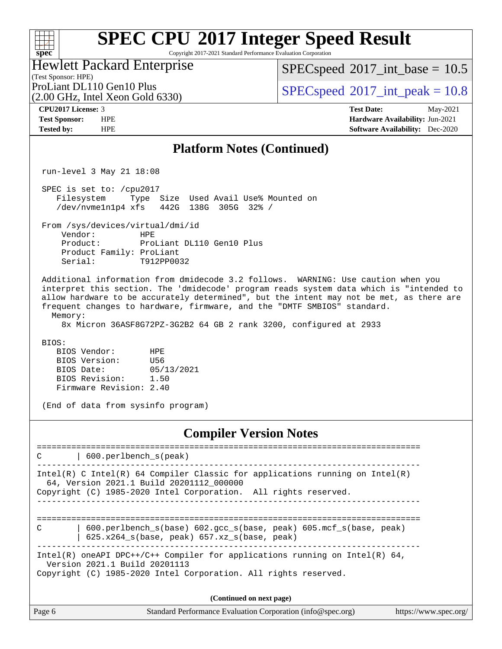Copyright 2017-2021 Standard Performance Evaluation Corporation

(Test Sponsor: HPE) Hewlett Packard Enterprise

 $SPECspeed^{\circledcirc}2017\_int\_base = 10.5$  $SPECspeed^{\circledcirc}2017\_int\_base = 10.5$ 

(2.00 GHz, Intel Xeon Gold 6330)

ProLiant DL110 Gen10 Plus  $SPEC speed@2017$ \_int\_peak = 10.8

**[spec](http://www.spec.org/)**

 $+\hskip -1.5pt +\hskip -1.5pt +$ 

**[CPU2017 License:](http://www.spec.org/auto/cpu2017/Docs/result-fields.html#CPU2017License)** 3 **[Test Date:](http://www.spec.org/auto/cpu2017/Docs/result-fields.html#TestDate)** May-2021 **[Test Sponsor:](http://www.spec.org/auto/cpu2017/Docs/result-fields.html#TestSponsor)** HPE **[Hardware Availability:](http://www.spec.org/auto/cpu2017/Docs/result-fields.html#HardwareAvailability)** Jun-2021 **[Tested by:](http://www.spec.org/auto/cpu2017/Docs/result-fields.html#Testedby)** HPE **[Software Availability:](http://www.spec.org/auto/cpu2017/Docs/result-fields.html#SoftwareAvailability)** Dec-2020

#### **[Platform Notes \(Continued\)](http://www.spec.org/auto/cpu2017/Docs/result-fields.html#PlatformNotes)**

run-level 3 May 21 18:08

 SPEC is set to: /cpu2017 Filesystem Type Size Used Avail Use% Mounted on /dev/nvme1n1p4 xfs 442G 138G 305G 32% /

From /sys/devices/virtual/dmi/id

 Vendor: HPE Product: ProLiant DL110 Gen10 Plus Product Family: ProLiant Serial: T912PP0032

 Additional information from dmidecode 3.2 follows. WARNING: Use caution when you interpret this section. The 'dmidecode' program reads system data which is "intended to allow hardware to be accurately determined", but the intent may not be met, as there are frequent changes to hardware, firmware, and the "DMTF SMBIOS" standard. Memory:

8x Micron 36ASF8G72PZ-3G2B2 64 GB 2 rank 3200, configured at 2933

BIOS:

 BIOS Vendor: HPE BIOS Version: U56 BIOS Date: 05/13/2021 BIOS Revision: 1.50 Firmware Revision: 2.40

(End of data from sysinfo program)

#### **[Compiler Version Notes](http://www.spec.org/auto/cpu2017/Docs/result-fields.html#CompilerVersionNotes)**

============================================================================== C | 600.perlbench\_s(peak) ------------------------------------------------------------------------------ Intel(R) C Intel(R) 64 Compiler Classic for applications running on Intel(R) 64, Version 2021.1 Build 20201112\_000000 Copyright (C) 1985-2020 Intel Corporation. All rights reserved. ------------------------------------------------------------------------------ ============================================================================== C | 600.perlbench\_s(base) 602.gcc\_s(base, peak) 605.mcf\_s(base, peak) | 625.x264\_s(base, peak) 657.xz\_s(base, peak) ------------------------------------------------------------------------------ Intel(R) oneAPI DPC++/C++ Compiler for applications running on Intel(R)  $64$ , Version 2021.1 Build 20201113 Copyright (C) 1985-2020 Intel Corporation. All rights reserved. **(Continued on next page)**

| Page 6 | Standard Performance Evaluation Corporation (info@spec.org) | https://www.spec.org/ |
|--------|-------------------------------------------------------------|-----------------------|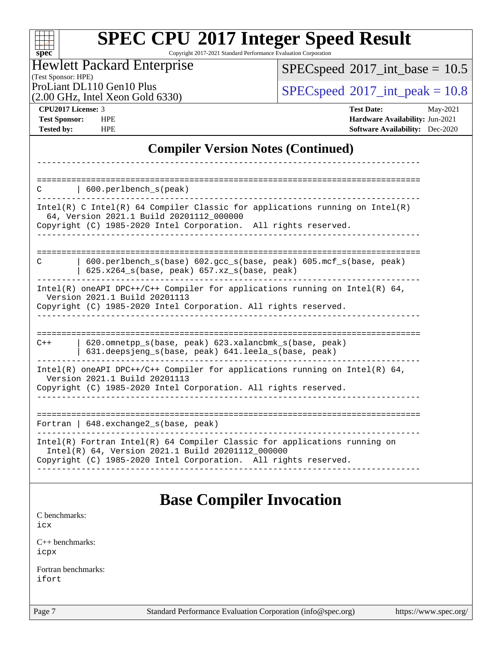| <b>SPEC CPU®2017 Integer Speed Result</b> |
|-------------------------------------------|
|-------------------------------------------|

Copyright 2017-2021 Standard Performance Evaluation Corporation

| <b>Hewlett Packard Enterprise</b>            |
|----------------------------------------------|
| (Test Sponsor: HPE)                          |
| $D_{n+1}$ is at DI 110 $C_{n+1}$ O $D_{n+2}$ |

(2.00 GHz, Intel Xeon Gold 6330)

 $SPECspeed*2017\_int\_base = 10.5$  $SPECspeed*2017\_int\_base = 10.5$ 

ProLiant DL110 Gen10 Plus  $\vert$  [SPECspeed](http://www.spec.org/auto/cpu2017/Docs/result-fields.html#SPECspeed2017intpeak)®[2017\\_int\\_peak = 1](http://www.spec.org/auto/cpu2017/Docs/result-fields.html#SPECspeed2017intpeak)0.8

| <b>CPU2017 License: 3</b> |  |
|---------------------------|--|
|---------------------------|--|

**[spec](http://www.spec.org/)**

H₩

**[CPU2017 License:](http://www.spec.org/auto/cpu2017/Docs/result-fields.html#CPU2017License)** 3 **[Test Date:](http://www.spec.org/auto/cpu2017/Docs/result-fields.html#TestDate)** May-2021 **[Test Sponsor:](http://www.spec.org/auto/cpu2017/Docs/result-fields.html#TestSponsor)** HPE **[Hardware Availability:](http://www.spec.org/auto/cpu2017/Docs/result-fields.html#HardwareAvailability)** Jun-2021 **[Tested by:](http://www.spec.org/auto/cpu2017/Docs/result-fields.html#Testedby)** HPE **[Software Availability:](http://www.spec.org/auto/cpu2017/Docs/result-fields.html#SoftwareAvailability)** Dec-2020

### **[Compiler Version Notes \(Continued\)](http://www.spec.org/auto/cpu2017/Docs/result-fields.html#CompilerVersionNotes)**

| $\vert$ 600. perlbench s(peak)<br>C                                                                                                                                                                 |
|-----------------------------------------------------------------------------------------------------------------------------------------------------------------------------------------------------|
| $Intel(R)$ C Intel(R) 64 Compiler Classic for applications running on Intel(R)<br>64, Version 2021.1 Build 20201112_000000<br>Copyright (C) 1985-2020 Intel Corporation. All rights reserved.       |
| $600.$ perlbench $s(base) 602.$ gcc $s(base, peak) 605.$ mcf $s(base, peak)$<br>C<br>$625.x264_s(base, peak)$ 657.xz <sub>_S</sub> (base, peak)                                                     |
| Intel(R) oneAPI DPC++/C++ Compiler for applications running on Intel(R) $64$ ,<br>Version 2021.1 Build 20201113<br>Copyright (C) 1985-2020 Intel Corporation. All rights reserved.                  |
| 620.omnetpp s(base, peak) 623.xalancbmk s(base, peak)<br>$C++$<br>631.deepsjeng_s(base, peak) 641.leela_s(base, peak)                                                                               |
| Intel(R) oneAPI DPC++/C++ Compiler for applications running on Intel(R) $64$ ,<br>Version 2021.1 Build 20201113<br>Copyright (C) 1985-2020 Intel Corporation. All rights reserved.                  |
| Fortran   $648$ . exchange2 $s$ (base, peak)                                                                                                                                                        |
| $Intel(R)$ Fortran Intel(R) 64 Compiler Classic for applications running on<br>Intel(R) 64, Version 2021.1 Build 20201112_000000<br>Copyright (C) 1985-2020 Intel Corporation. All rights reserved. |

### **[Base Compiler Invocation](http://www.spec.org/auto/cpu2017/Docs/result-fields.html#BaseCompilerInvocation)**

[C benchmarks](http://www.spec.org/auto/cpu2017/Docs/result-fields.html#Cbenchmarks): [icx](http://www.spec.org/cpu2017/results/res2021q2/cpu2017-20210525-26752.flags.html#user_CCbase_intel_icx_fe2d28d19ae2a5db7c42fe0f2a2aed77cb715edd4aeb23434404a8be6683fe239869bb6ca8154ca98265c2e3b9226a719a0efe2953a4a7018c379b7010ccf087)

[C++ benchmarks:](http://www.spec.org/auto/cpu2017/Docs/result-fields.html#CXXbenchmarks) [icpx](http://www.spec.org/cpu2017/results/res2021q2/cpu2017-20210525-26752.flags.html#user_CXXbase_intel_icpx_1e918ed14c436bf4b9b7c8bcdd51d4539fc71b3df010bd1e9f8732d9c34c2b2914e48204a846820f3c0ebb4095dea797a5c30b458ac0b6dffac65d78f781f5ca)

[Fortran benchmarks](http://www.spec.org/auto/cpu2017/Docs/result-fields.html#Fortranbenchmarks): [ifort](http://www.spec.org/cpu2017/results/res2021q2/cpu2017-20210525-26752.flags.html#user_FCbase_intel_ifort_8111460550e3ca792625aed983ce982f94888b8b503583aa7ba2b8303487b4d8a21a13e7191a45c5fd58ff318f48f9492884d4413fa793fd88dd292cad7027ca)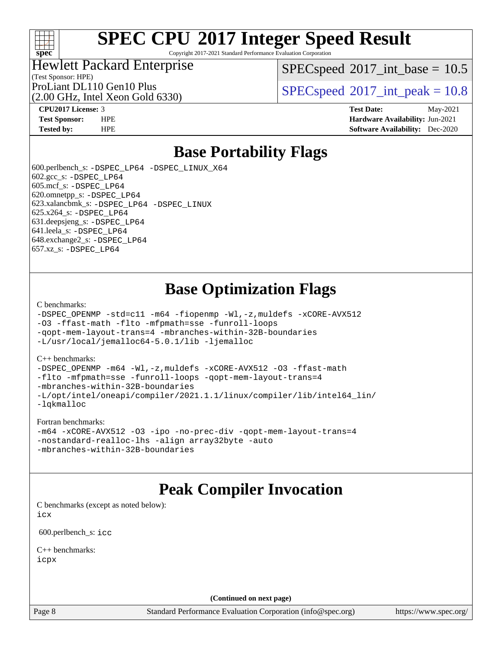

Copyright 2017-2021 Standard Performance Evaluation Corporation

### Hewlett Packard Enterprise

 $SPECspeed^{\circ}2017\_int\_base = 10.5$  $SPECspeed^{\circ}2017\_int\_base = 10.5$ 

(Test Sponsor: HPE) (2.00 GHz, Intel Xeon Gold 6330)

ProLiant DL110 Gen10 Plus  $SPEC speed@2017$  int peak = 10.8

**[CPU2017 License:](http://www.spec.org/auto/cpu2017/Docs/result-fields.html#CPU2017License)** 3 **[Test Date:](http://www.spec.org/auto/cpu2017/Docs/result-fields.html#TestDate)** May-2021 **[Test Sponsor:](http://www.spec.org/auto/cpu2017/Docs/result-fields.html#TestSponsor)** HPE **[Hardware Availability:](http://www.spec.org/auto/cpu2017/Docs/result-fields.html#HardwareAvailability)** Jun-2021 **[Tested by:](http://www.spec.org/auto/cpu2017/Docs/result-fields.html#Testedby)** HPE **[Software Availability:](http://www.spec.org/auto/cpu2017/Docs/result-fields.html#SoftwareAvailability)** Dec-2020

## **[Base Portability Flags](http://www.spec.org/auto/cpu2017/Docs/result-fields.html#BasePortabilityFlags)**

 600.perlbench\_s: [-DSPEC\\_LP64](http://www.spec.org/cpu2017/results/res2021q2/cpu2017-20210525-26752.flags.html#b600.perlbench_s_basePORTABILITY_DSPEC_LP64) [-DSPEC\\_LINUX\\_X64](http://www.spec.org/cpu2017/results/res2021q2/cpu2017-20210525-26752.flags.html#b600.perlbench_s_baseCPORTABILITY_DSPEC_LINUX_X64) 602.gcc\_s: [-DSPEC\\_LP64](http://www.spec.org/cpu2017/results/res2021q2/cpu2017-20210525-26752.flags.html#suite_basePORTABILITY602_gcc_s_DSPEC_LP64) 605.mcf\_s: [-DSPEC\\_LP64](http://www.spec.org/cpu2017/results/res2021q2/cpu2017-20210525-26752.flags.html#suite_basePORTABILITY605_mcf_s_DSPEC_LP64) 620.omnetpp\_s: [-DSPEC\\_LP64](http://www.spec.org/cpu2017/results/res2021q2/cpu2017-20210525-26752.flags.html#suite_basePORTABILITY620_omnetpp_s_DSPEC_LP64) 623.xalancbmk\_s: [-DSPEC\\_LP64](http://www.spec.org/cpu2017/results/res2021q2/cpu2017-20210525-26752.flags.html#suite_basePORTABILITY623_xalancbmk_s_DSPEC_LP64) [-DSPEC\\_LINUX](http://www.spec.org/cpu2017/results/res2021q2/cpu2017-20210525-26752.flags.html#b623.xalancbmk_s_baseCXXPORTABILITY_DSPEC_LINUX) 625.x264\_s: [-DSPEC\\_LP64](http://www.spec.org/cpu2017/results/res2021q2/cpu2017-20210525-26752.flags.html#suite_basePORTABILITY625_x264_s_DSPEC_LP64) 631.deepsjeng\_s: [-DSPEC\\_LP64](http://www.spec.org/cpu2017/results/res2021q2/cpu2017-20210525-26752.flags.html#suite_basePORTABILITY631_deepsjeng_s_DSPEC_LP64) 641.leela\_s: [-DSPEC\\_LP64](http://www.spec.org/cpu2017/results/res2021q2/cpu2017-20210525-26752.flags.html#suite_basePORTABILITY641_leela_s_DSPEC_LP64) 648.exchange2\_s: [-DSPEC\\_LP64](http://www.spec.org/cpu2017/results/res2021q2/cpu2017-20210525-26752.flags.html#suite_basePORTABILITY648_exchange2_s_DSPEC_LP64) 657.xz\_s: [-DSPEC\\_LP64](http://www.spec.org/cpu2017/results/res2021q2/cpu2017-20210525-26752.flags.html#suite_basePORTABILITY657_xz_s_DSPEC_LP64)

## **[Base Optimization Flags](http://www.spec.org/auto/cpu2017/Docs/result-fields.html#BaseOptimizationFlags)**

[C benchmarks](http://www.spec.org/auto/cpu2017/Docs/result-fields.html#Cbenchmarks):

```
-DSPEC_OPENMP -std=c11 -m64 -fiopenmp -Wl,-z,muldefs -xCORE-AVX512
-O3 -ffast-math -flto -mfpmath=sse -funroll-loops
-qopt-mem-layout-trans=4 -mbranches-within-32B-boundaries
-L/usr/local/jemalloc64-5.0.1/lib -ljemalloc
```
#### [C++ benchmarks:](http://www.spec.org/auto/cpu2017/Docs/result-fields.html#CXXbenchmarks)

[-DSPEC\\_OPENMP](http://www.spec.org/cpu2017/results/res2021q2/cpu2017-20210525-26752.flags.html#suite_CXXbase_DSPEC_OPENMP) [-m64](http://www.spec.org/cpu2017/results/res2021q2/cpu2017-20210525-26752.flags.html#user_CXXbase_m64-icc) [-Wl,-z,muldefs](http://www.spec.org/cpu2017/results/res2021q2/cpu2017-20210525-26752.flags.html#user_CXXbase_link_force_multiple1_b4cbdb97b34bdee9ceefcfe54f4c8ea74255f0b02a4b23e853cdb0e18eb4525ac79b5a88067c842dd0ee6996c24547a27a4b99331201badda8798ef8a743f577) [-xCORE-AVX512](http://www.spec.org/cpu2017/results/res2021q2/cpu2017-20210525-26752.flags.html#user_CXXbase_f-xCORE-AVX512) [-O3](http://www.spec.org/cpu2017/results/res2021q2/cpu2017-20210525-26752.flags.html#user_CXXbase_f-O3) [-ffast-math](http://www.spec.org/cpu2017/results/res2021q2/cpu2017-20210525-26752.flags.html#user_CXXbase_f-ffast-math) [-flto](http://www.spec.org/cpu2017/results/res2021q2/cpu2017-20210525-26752.flags.html#user_CXXbase_f-flto) [-mfpmath=sse](http://www.spec.org/cpu2017/results/res2021q2/cpu2017-20210525-26752.flags.html#user_CXXbase_f-mfpmath_70eb8fac26bde974f8ab713bc9086c5621c0b8d2f6c86f38af0bd7062540daf19db5f3a066d8c6684be05d84c9b6322eb3b5be6619d967835195b93d6c02afa1) [-funroll-loops](http://www.spec.org/cpu2017/results/res2021q2/cpu2017-20210525-26752.flags.html#user_CXXbase_f-funroll-loops) [-qopt-mem-layout-trans=4](http://www.spec.org/cpu2017/results/res2021q2/cpu2017-20210525-26752.flags.html#user_CXXbase_f-qopt-mem-layout-trans_fa39e755916c150a61361b7846f310bcdf6f04e385ef281cadf3647acec3f0ae266d1a1d22d972a7087a248fd4e6ca390a3634700869573d231a252c784941a8) [-mbranches-within-32B-boundaries](http://www.spec.org/cpu2017/results/res2021q2/cpu2017-20210525-26752.flags.html#user_CXXbase_f-mbranches-within-32B-boundaries) [-L/opt/intel/oneapi/compiler/2021.1.1/linux/compiler/lib/intel64\\_lin/](http://www.spec.org/cpu2017/results/res2021q2/cpu2017-20210525-26752.flags.html#user_CXXbase_linkpath_765a8c93c4ea33dfc565a33ecb48f4f7d02a6338709b3b362f341eb203a06426ce1d12ded4c7809f6ab6cf0e9f5515cffeb4efc405b63f85dc27a83bbbdeb3a3) [-lqkmalloc](http://www.spec.org/cpu2017/results/res2021q2/cpu2017-20210525-26752.flags.html#user_CXXbase_qkmalloc_link_lib_79a818439969f771c6bc311cfd333c00fc099dad35c030f5aab9dda831713d2015205805422f83de8875488a2991c0a156aaa600e1f9138f8fc37004abc96dc5)

#### [Fortran benchmarks](http://www.spec.org/auto/cpu2017/Docs/result-fields.html#Fortranbenchmarks):

```
-m64 -xCORE-AVX512 -O3 -ipo -no-prec-div -qopt-mem-layout-trans=4
-nostandard-realloc-lhs -align array32byte -auto
-mbranches-within-32B-boundaries
```
### **[Peak Compiler Invocation](http://www.spec.org/auto/cpu2017/Docs/result-fields.html#PeakCompilerInvocation)**

[C benchmarks \(except as noted below\)](http://www.spec.org/auto/cpu2017/Docs/result-fields.html#Cbenchmarksexceptasnotedbelow): [icx](http://www.spec.org/cpu2017/results/res2021q2/cpu2017-20210525-26752.flags.html#user_CCpeak_intel_icx_fe2d28d19ae2a5db7c42fe0f2a2aed77cb715edd4aeb23434404a8be6683fe239869bb6ca8154ca98265c2e3b9226a719a0efe2953a4a7018c379b7010ccf087)

600.perlbench\_s: [icc](http://www.spec.org/cpu2017/results/res2021q2/cpu2017-20210525-26752.flags.html#user_peakCCLD600_perlbench_s_intel_icc_66fc1ee009f7361af1fbd72ca7dcefbb700085f36577c54f309893dd4ec40d12360134090235512931783d35fd58c0460139e722d5067c5574d8eaf2b3e37e92)

[C++ benchmarks:](http://www.spec.org/auto/cpu2017/Docs/result-fields.html#CXXbenchmarks) [icpx](http://www.spec.org/cpu2017/results/res2021q2/cpu2017-20210525-26752.flags.html#user_CXXpeak_intel_icpx_1e918ed14c436bf4b9b7c8bcdd51d4539fc71b3df010bd1e9f8732d9c34c2b2914e48204a846820f3c0ebb4095dea797a5c30b458ac0b6dffac65d78f781f5ca)

**(Continued on next page)**

Page 8 Standard Performance Evaluation Corporation [\(info@spec.org\)](mailto:info@spec.org) <https://www.spec.org/>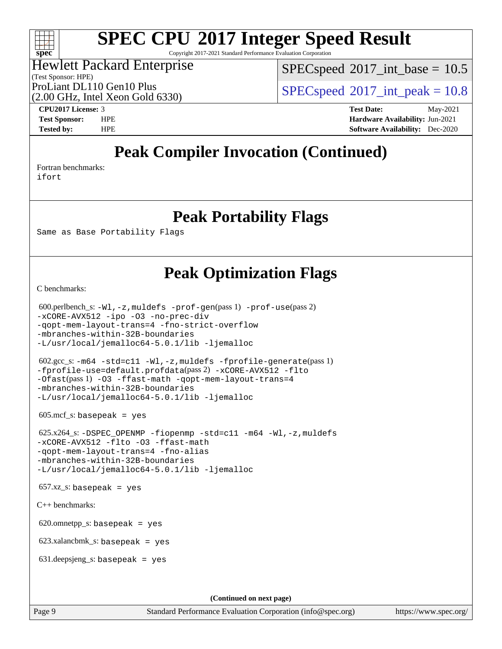#### $\pm\pm\prime$ **[spec](http://www.spec.org/)**

# **[SPEC CPU](http://www.spec.org/auto/cpu2017/Docs/result-fields.html#SPECCPU2017IntegerSpeedResult)[2017 Integer Speed Result](http://www.spec.org/auto/cpu2017/Docs/result-fields.html#SPECCPU2017IntegerSpeedResult)**

Copyright 2017-2021 Standard Performance Evaluation Corporation

#### (Test Sponsor: HPE) Hewlett Packard Enterprise

 $SPECspeed^{\circ}2017\_int\_base = 10.5$  $SPECspeed^{\circ}2017\_int\_base = 10.5$ 

(2.00 GHz, Intel Xeon Gold 6330)

ProLiant DL110 Gen10 Plus  $SPEC speed@2017$  int peak = 10.8

**[CPU2017 License:](http://www.spec.org/auto/cpu2017/Docs/result-fields.html#CPU2017License)** 3 **[Test Date:](http://www.spec.org/auto/cpu2017/Docs/result-fields.html#TestDate)** May-2021 **[Test Sponsor:](http://www.spec.org/auto/cpu2017/Docs/result-fields.html#TestSponsor)** HPE **[Hardware Availability:](http://www.spec.org/auto/cpu2017/Docs/result-fields.html#HardwareAvailability)** Jun-2021 **[Tested by:](http://www.spec.org/auto/cpu2017/Docs/result-fields.html#Testedby)** HPE **[Software Availability:](http://www.spec.org/auto/cpu2017/Docs/result-fields.html#SoftwareAvailability)** Dec-2020

## **[Peak Compiler Invocation \(Continued\)](http://www.spec.org/auto/cpu2017/Docs/result-fields.html#PeakCompilerInvocation)**

[Fortran benchmarks](http://www.spec.org/auto/cpu2017/Docs/result-fields.html#Fortranbenchmarks): [ifort](http://www.spec.org/cpu2017/results/res2021q2/cpu2017-20210525-26752.flags.html#user_FCpeak_intel_ifort_8111460550e3ca792625aed983ce982f94888b8b503583aa7ba2b8303487b4d8a21a13e7191a45c5fd58ff318f48f9492884d4413fa793fd88dd292cad7027ca)

**[Peak Portability Flags](http://www.spec.org/auto/cpu2017/Docs/result-fields.html#PeakPortabilityFlags)**

Same as Base Portability Flags

### **[Peak Optimization Flags](http://www.spec.org/auto/cpu2017/Docs/result-fields.html#PeakOptimizationFlags)**

[C benchmarks](http://www.spec.org/auto/cpu2017/Docs/result-fields.html#Cbenchmarks):

```
 600.perlbench_s: -Wl,-z,muldefs -prof-gen(pass 1) -prof-use(pass 2)
-xCORE-AVX512 -ipo -O3 -no-prec-div
-qopt-mem-layout-trans=4 -fno-strict-overflow
-mbranches-within-32B-boundaries
-L/usr/local/jemalloc64-5.0.1/lib -ljemalloc
 602.gcc_s: -m64 -std=c11 -Wl,-z,muldefs -fprofile-generate(pass 1)
-fprofile-use=default.profdata(pass 2) -xCORE-AVX512 -flto
-Ofast(pass 1) -O3 -ffast-math -qopt-mem-layout-trans=4
-mbranches-within-32B-boundaries
-L/usr/local/jemalloc64-5.0.1/lib -ljemalloc
605 \text{.mcf}\text{.s.} basepeak = yes
 625.x264_s: -DSPEC_OPENMP -fiopenmp -std=c11 -m64 -Wl,-z,muldefs
-xCORE-AVX512 -flto -O3 -ffast-math
-qopt-mem-layout-trans=4 -fno-alias
-mbranches-within-32B-boundaries
-L/usr/local/jemalloc64-5.0.1/lib -ljemalloc
657.xz_s: basepeak = yes
C++ benchmarks: 
620.omnetpp_s: basepeak = yes
 623.xalancbmk_s: basepeak = yes
 631.deepsjeng_s: basepeak = yes
                                       (Continued on next page)
```